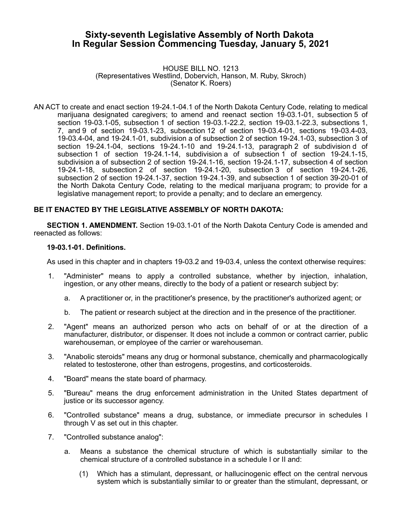# **Sixty-seventh Legislative Assembly of North Dakota In Regular Session Commencing Tuesday, January 5, 2021**

HOUSE BILL NO. 1213 (Representatives Westlind, Dobervich, Hanson, M. Ruby, Skroch) (Senator K. Roers)

AN ACT to create and enact section 19-24.1-04.1 of the North Dakota Century Code, relating to medical marijuana designated caregivers; to amend and reenact section 19-03.1-01, subsection 5 of section 19-03.1-05, subsection 1 of section 19-03.1-22.2, section 19-03.1-22.3, subsections 1, 7, and 9 of section 19-03.1-23, subsection 12 of section 19-03.4-01, sections 19-03.4-03, 19-03.4-04, and 19-24.1-01, subdivision a of subsection 2 of section 19-24.1-03, subsection 3 of section 19-24.1-04, sections 19-24.1-10 and 19-24.1-13, paragraph 2 of subdivision d of subsection 1 of section 19-24.1-14, subdivision a of subsection 1 of section 19-24.1-15, subdivision a of subsection 2 of section 19-24.1-16, section 19-24.1-17, subsection 4 of section 19-24.1-18, subsection 2 of section 19-24.1-20, subsection 3 of section 19-24.1-26, subsection 2 of section 19-24.1-37, section 19-24.1-39, and subsection 1 of section 39-20-01 of the North Dakota Century Code, relating to the medical marijuana program; to provide for a legislative management report; to provide a penalty; and to declare an emergency.

# **BE IT ENACTED BY THE LEGISLATIVE ASSEMBLY OF NORTH DAKOTA:**

**SECTION 1. AMENDMENT.** Section 19-03.1-01 of the North Dakota Century Code is amended and reenacted as follows:

#### **19-03.1-01. Definitions.**

As used in this chapter and in chapters 19-03.2 and 19-03.4, unless the context otherwise requires:

- 1. "Administer" means to apply a controlled substance, whether by injection, inhalation, ingestion, or any other means, directly to the body of a patient or research subject by:
	- a. A practitioner or, in the practitioner's presence, by the practitioner's authorized agent; or
	- b. The patient or research subject at the direction and in the presence of the practitioner.
- 2. "Agent" means an authorized person who acts on behalf of or at the direction of a manufacturer, distributor, or dispenser. It does not include a common or contract carrier, public warehouseman, or employee of the carrier or warehouseman.
- 3. "Anabolic steroids" means any drug or hormonal substance, chemically and pharmacologically related to testosterone, other than estrogens, progestins, and corticosteroids.
- 4. "Board" means the state board of pharmacy.
- 5. "Bureau" means the drug enforcement administration in the United States department of justice or its successor agency.
- 6. "Controlled substance" means a drug, substance, or immediate precursor in schedules I through V as set out in this chapter.
- 7. "Controlled substance analog":
	- a. Means a substance the chemical structure of which is substantially similar to the chemical structure of a controlled substance in a schedule I or II and:
		- (1) Which has a stimulant, depressant, or hallucinogenic effect on the central nervous system which is substantially similar to or greater than the stimulant, depressant, or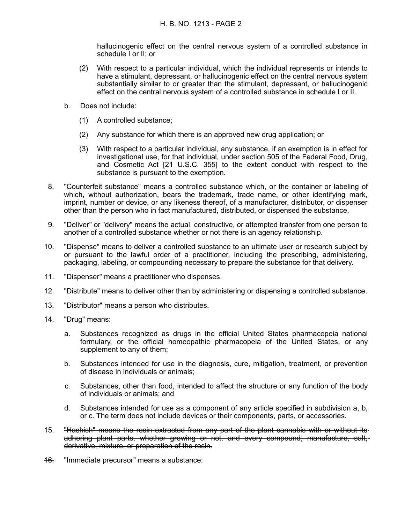hallucinogenic effect on the central nervous system of a controlled substance in schedule I or II; or

- (2) With respect to a particular individual, which the individual represents or intends to have a stimulant, depressant, or hallucinogenic effect on the central nervous system substantially similar to or greater than the stimulant, depressant, or hallucinogenic effect on the central nervous system of a controlled substance in schedule I or II.
- b. Does not include:
	- (1) A controlled substance;
	- (2) Any substance for which there is an approved new drug application; or
	- (3) With respect to a particular individual, any substance, if an exemption is in effect for investigational use, for that individual, under section 505 of the Federal Food, Drug, and Cosmetic Act [21 U.S.C. 355] to the extent conduct with respect to the substance is pursuant to the exemption.
- 8. "Counterfeit substance" means a controlled substance which, or the container or labeling of which, without authorization, bears the trademark, trade name, or other identifying mark, imprint, number or device, or any likeness thereof, of a manufacturer, distributor, or dispenser other than the person who in fact manufactured, distributed, or dispensed the substance.
- 9. "Deliver" or "delivery" means the actual, constructive, or attempted transfer from one person to another of a controlled substance whether or not there is an agency relationship.
- 10. "Dispense" means to deliver a controlled substance to an ultimate user or research subject by or pursuant to the lawful order of a practitioner, including the prescribing, administering, packaging, labeling, or compounding necessary to prepare the substance for that delivery.
- 11. "Dispenser" means a practitioner who dispenses.
- 12. "Distribute" means to deliver other than by administering or dispensing a controlled substance.
- 13. "Distributor" means a person who distributes.
- 14. "Drug" means:
	- a. Substances recognized as drugs in the official United States pharmacopeia national formulary, or the official homeopathic pharmacopeia of the United States, or any supplement to any of them;
	- b. Substances intended for use in the diagnosis, cure, mitigation, treatment, or prevention of disease in individuals or animals;
	- c. Substances, other than food, intended to affect the structure or any function of the body of individuals or animals; and
	- d. Substances intended for use as a component of any article specified in subdivision a, b, or c. The term does not include devices or their components, parts, or accessories.
- 15. "Hashish" means the resin extracted from any part of the plant cannabis with or without its adhering plant parts, whether growing or not, and every compound, manufacture, salt, derivative, mixture, or preparation of the resin.
- 16. "Immediate precursor" means a substance: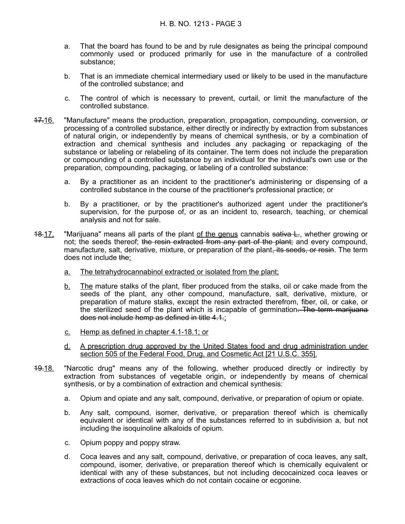- a. That the board has found to be and by rule designates as being the principal compound commonly used or produced primarily for use in the manufacture of a controlled substance;
- b. That is an immediate chemical intermediary used or likely to be used in the manufacture of the controlled substance; and
- c. The control of which is necessary to prevent, curtail, or limit the manufacture of the controlled substance.
- 17.16. "Manufacture" means the production, preparation, propagation, compounding, conversion, or processing of a controlled substance, either directly or indirectly by extraction from substances of natural origin, or independently by means of chemical synthesis, or by a combination of extraction and chemical synthesis and includes any packaging or repackaging of the substance or labeling or relabeling of its container. The term does not include the preparation or compounding of a controlled substance by an individual for the individual's own use or the preparation, compounding, packaging, or labeling of a controlled substance:
	- a. By a practitioner as an incident to the practitioner's administering or dispensing of a controlled substance in the course of the practitioner's professional practice; or
	- b. By a practitioner, or by the practitioner's authorized agent under the practitioner's supervision, for the purpose of, or as an incident to, research, teaching, or chemical analysis and not for sale.
- 18.17. "Marijuana" means all parts of the plant of the genus cannabis sativa L, whether growing or not; the seeds thereof; the resin extracted from any part of the plant; and every compound, manufacture, salt, derivative, mixture, or preparation of the plant, its seeds, or resin. The term does not include the:
	- a. The tetrahydrocannabinol extracted or isolated from the plant;
	- b. The mature stalks of the plant, fiber produced from the stalks, oil or cake made from the seeds of the plant, any other compound, manufacture, salt, derivative, mixture, or preparation of mature stalks, except the resin extracted therefrom, fiber, oil, or cake, or the sterilized seed of the plant which is incapable of germination. The term marijuana does not include hemp as defined in title 4.1.;
	- c. Hemp as defined in chapter 4.1 18.1; or
	- d. A prescription drug approved by the United States food and drug administration under section 505 of the Federal Food, Drug, and Cosmetic Act [21 U.S.C. 355].
- 19.18. "Narcotic drug" means any of the following, whether produced directly or indirectly by extraction from substances of vegetable origin, or independently by means of chemical synthesis, or by a combination of extraction and chemical synthesis:
	- a. Opium and opiate and any salt, compound, derivative, or preparation of opium or opiate.
	- b. Any salt, compound, isomer, derivative, or preparation thereof which is chemically equivalent or identical with any of the substances referred to in subdivision a, but not including the isoquinoline alkaloids of opium.
	- c. Opium poppy and poppy straw.
	- d. Coca leaves and any salt, compound, derivative, or preparation of coca leaves, any salt, compound, isomer, derivative, or preparation thereof which is chemically equivalent or identical with any of these substances, but not including decocainized coca leaves or extractions of coca leaves which do not contain cocaine or ecgonine.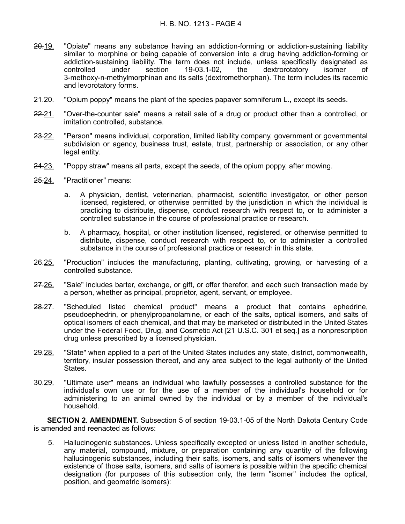# H. B. NO. 1213 - PAGE 4

- 20.19. "Opiate" means any substance having an addiction-forming or addiction-sustaining liability similar to morphine or being capable of conversion into a drug having addiction-forming or addiction-sustaining liability. The term does not include, unless specifically designated as controlled under section 19-03.1-02, the dextrorotatory isomer of 3-methoxy-n-methylmorphinan and its salts (dextromethorphan). The term includes its racemic and levorotatory forms.
- 24.20. "Opium poppy" means the plant of the species papaver somniferum L., except its seeds.
- 22.21. "Over-the-counter sale" means a retail sale of a drug or product other than a controlled, or imitation controlled, substance.
- 23.22. "Person" means individual, corporation, limited liability company, government or governmental subdivision or agency, business trust, estate, trust, partnership or association, or any other legal entity.
- 24.23. "Poppy straw" means all parts, except the seeds, of the opium poppy, after mowing.
- 25.24. "Practitioner" means:
	- a. A physician, dentist, veterinarian, pharmacist, scientific investigator, or other person licensed, registered, or otherwise permitted by the jurisdiction in which the individual is practicing to distribute, dispense, conduct research with respect to, or to administer a controlled substance in the course of professional practice or research.
	- b. A pharmacy, hospital, or other institution licensed, registered, or otherwise permitted to distribute, dispense, conduct research with respect to, or to administer a controlled substance in the course of professional practice or research in this state.
- 26.25. "Production" includes the manufacturing, planting, cultivating, growing, or harvesting of a controlled substance.
- 27.26. "Sale" includes barter, exchange, or gift, or offer therefor, and each such transaction made by a person, whether as principal, proprietor, agent, servant, or employee.
- 28.27. "Scheduled listed chemical product" means a product that contains ephedrine, pseudoephedrin, or phenylpropanolamine, or each of the salts, optical isomers, and salts of optical isomers of each chemical, and that may be marketed or distributed in the United States under the Federal Food, Drug, and Cosmetic Act [21 U.S.C. 301 et seq.] as a nonprescription drug unless prescribed by a licensed physician.
- 29.28. "State" when applied to a part of the United States includes any state, district, commonwealth, territory, insular possession thereof, and any area subject to the legal authority of the United States.
- 30.29. "Ultimate user" means an individual who lawfully possesses a controlled substance for the individual's own use or for the use of a member of the individual's household or for administering to an animal owned by the individual or by a member of the individual's household.

**SECTION 2. AMENDMENT.** Subsection 5 of section 19-03.1-05 of the North Dakota Century Code is amended and reenacted as follows:

5. Hallucinogenic substances. Unless specifically excepted or unless listed in another schedule, any material, compound, mixture, or preparation containing any quantity of the following hallucinogenic substances, including their salts, isomers, and salts of isomers whenever the existence of those salts, isomers, and salts of isomers is possible within the specific chemical designation (for purposes of this subsection only, the term "isomer" includes the optical, position, and geometric isomers):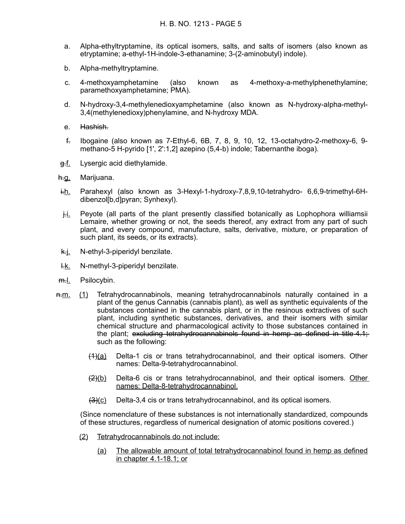- a. Alpha-ethyltryptamine, its optical isomers, salts, and salts of isomers (also known as etryptamine; a-ethyl-1H-indole-3-ethanamine; 3-(2-aminobutyl) indole).
- b. Alpha-methyltryptamine.
- c. 4-methoxyamphetamine (also known as 4-methoxy-a-methylphenethylamine; paramethoxyamphetamine; PMA).
- d. N-hydroxy-3,4-methylenedioxyamphetamine (also known as N-hydroxy-alpha-methyl-3,4(methylenedioxy)phenylamine, and N-hydroxy MDA.
- e. Hashish.
- f. Ibogaine (also known as 7-Ethyl-6, 6B, 7, 8, 9, 10, 12, 13-octahydro-2-methoxy-6, 9 methano-5 H-pyrido [1', 2':1,2] azepino (5,4-b) indole; Tabernanthe iboga).
- g.f. Lysergic acid diethylamide.
- h.g. Marijuana.
- i.h. Parahexyl (also known as 3-Hexyl-1-hydroxy-7,8,9,10-tetrahydro- 6,6,9-trimethyl-6Hdibenzol[b,d]pyran; Synhexyl).
- $\frac{1}{1}$ . Peyote (all parts of the plant presently classified botanically as Lophophora williamsii Lemaire, whether growing or not, the seeds thereof, any extract from any part of such plant, and every compound, manufacture, salts, derivative, mixture, or preparation of such plant, its seeds, or its extracts).
- k.j. N-ethyl-3-piperidyl benzilate.
- l.k. N-methyl-3-piperidyl benzilate.
- m.<u>l.</u> Psilocybin.
- n.m. (1) Tetrahydrocannabinols, meaning tetrahydrocannabinols naturally contained in a plant of the genus Cannabis (cannabis plant), as well as synthetic equivalents of the substances contained in the cannabis plant, or in the resinous extractives of such plant, including synthetic substances, derivatives, and their isomers with similar chemical structure and pharmacological activity to those substances contained in the plant; excluding tetrahydrocannabinols found in hemp as defined in title  $4.1$ ; such as the following:
	- $(1)$ (a) Delta-1 cis or trans tetrahydrocannabinol, and their optical isomers. Other names: Delta-9-tetrahydrocannabinol.
	- (2)(b) Delta-6 cis or trans tetrahydrocannabinol, and their optical isomers. Other names: Delta-8-tetrahydrocannabinol.
	- $\frac{3(0)}{2}$  Delta-3,4 cis or trans tetrahydrocannabinol, and its optical isomers.

(Since nomenclature of these substances is not internationally standardized, compounds of these structures, regardless of numerical designation of atomic positions covered.)

- (2) Tetrahydrocannabinols do not include:
	- (a) The allowable amount of total tetrahydrocannabinol found in hemp as defined in chapter 4.1-18.1; or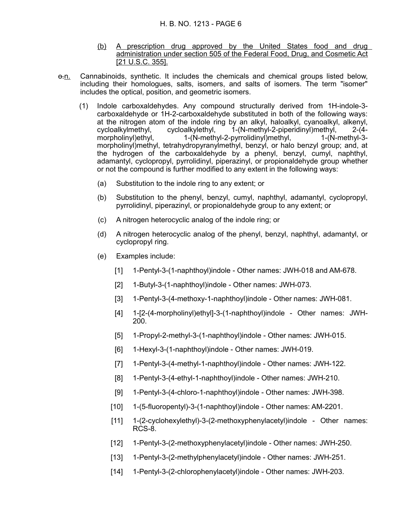- (b) A prescription drug approved by the United States food and drug administration under section 505 of the Federal Food, Drug, and Cosmetic Act [21 U.S.C. 355].
- $\Theta$ -n. Cannabinoids, synthetic. It includes the chemicals and chemical groups listed below, including their homologues, salts, isomers, and salts of isomers. The term "isomer" includes the optical, position, and geometric isomers.
	- (1) Indole carboxaldehydes. Any compound structurally derived from 1H-indole-3 carboxaldehyde or 1H-2-carboxaldehyde substituted in both of the following ways: at the nitrogen atom of the indole ring by an alkyl, haloalkyl, cyanoalkyl, alkenyl, cycloalkylmethyl, cycloalkylethyl, 1-(N-methyl-2-piperidinyl)methyl, 2-(4-<br>morpholinyl)ethyl, 1-(N-methyl-2-pyrrolidinyl)methyl, 1-(N-methyl-3morpholinyl)ethyl, 1-(N-methyl-2-pyrrolidinyl)methyl, morpholinyl)methyl, tetrahydropyranylmethyl, benzyl, or halo benzyl group; and, at the hydrogen of the carboxaldehyde by a phenyl, benzyl, cumyl, naphthyl, adamantyl, cyclopropyl, pyrrolidinyl, piperazinyl, or propionaldehyde group whether or not the compound is further modified to any extent in the following ways:
		- (a) Substitution to the indole ring to any extent; or
		- (b) Substitution to the phenyl, benzyl, cumyl, naphthyl, adamantyl, cyclopropyl, pyrrolidinyl, piperazinyl, or propionaldehyde group to any extent; or
		- (c) A nitrogen heterocyclic analog of the indole ring; or
		- (d) A nitrogen heterocyclic analog of the phenyl, benzyl, naphthyl, adamantyl, or cyclopropyl ring.
		- (e) Examples include:
			- [1] 1-Pentyl-3-(1-naphthoyl)indole Other names: JWH-018 and AM-678.
			- [2] 1-Butyl-3-(1-naphthoyl)indole Other names: JWH-073.
			- [3] 1-Pentyl-3-(4-methoxy-1-naphthoyl)indole Other names: JWH-081.
			- [4] 1-[2-(4-morpholinyl)ethyl]-3-(1-naphthoyl)indole Other names: JWH-200.
			- [5] 1-Propyl-2-methyl-3-(1-naphthoyl)indole Other names: JWH-015.
			- [6] 1-Hexyl-3-(1-naphthoyl)indole Other names: JWH-019.
			- [7] 1-Pentyl-3-(4-methyl-1-naphthoyl)indole Other names: JWH-122.
			- [8] 1-Pentyl-3-(4-ethyl-1-naphthoyl)indole Other names: JWH-210.
			- [9] 1-Pentyl-3-(4-chloro-1-naphthoyl)indole Other names: JWH-398.
			- [10] 1-(5-fluoropentyl)-3-(1-naphthoyl)indole Other names: AM-2201.
			- [11] 1-(2-cyclohexylethyl)-3-(2-methoxyphenylacetyl)indole Other names: RCS-8.
			- [12] 1-Pentyl-3-(2-methoxyphenylacetyl)indole Other names: JWH-250.
			- [13] 1-Pentyl-3-(2-methylphenylacetyl)indole Other names: JWH-251.
			- [14] 1-Pentyl-3-(2-chlorophenylacetyl)indole Other names: JWH-203.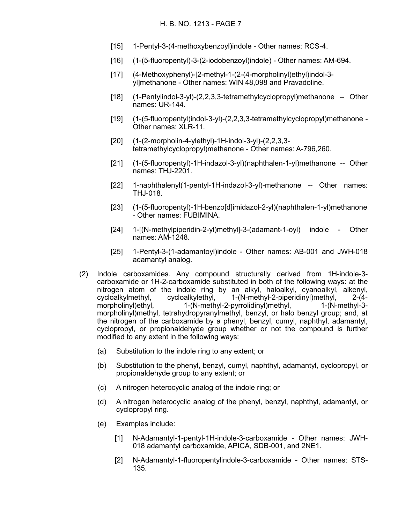- [15] 1-Pentyl-3-(4-methoxybenzoyl)indole Other names: RCS-4.
- [16] (1-(5-fluoropentyl)-3-(2-iodobenzoyl)indole) Other names: AM-694.
- [17] (4-Methoxyphenyl)-[2-methyl-1-(2-(4-morpholinyl)ethyl)indol-3 yl]methanone - Other names: WIN 48,098 and Pravadoline.
- [18] (1-Pentylindol-3-yl)-(2,2,3,3-tetramethylcyclopropyl)methanone -- Other names: UR-144.
- [19] (1-(5-fluoropentyl)indol-3-yl)-(2,2,3,3-tetramethylcyclopropyl)methanone Other names: XLR-11.
- [20] (1-(2-morpholin-4-ylethyl)-1H-indol-3-yl)-(2,2,3,3 tetramethylcyclopropyl)methanone - Other names: A-796,260.
- [21] (1-(5-fluoropentyl)-1H-indazol-3-yl)(naphthalen-1-yl)methanone -- Other names: THJ-2201.
- [22] 1-naphthalenyl(1-pentyl-1H-indazol-3-yl)-methanone -- Other names: THJ-018.
- [23] (1-(5-fluoropentyl)-1H-benzo[d]imidazol-2-yl)(naphthalen-1-yl)methanone - Other names: FUBIMINA.
- [24] 1-[(N-methylpiperidin-2-yl)methyl]-3-(adamant-1-oyl) indole Other names: AM-1248.
- [25] 1-Pentyl-3-(1-adamantoyl)indole Other names: AB-001 and JWH-018 adamantyl analog.
- (2) Indole carboxamides. Any compound structurally derived from 1H-indole-3 carboxamide or 1H-2-carboxamide substituted in both of the following ways: at the nitrogen atom of the indole ring by an alkyl, haloalkyl, cyanoalkyl, alkenyl, cycloalkylmethyl, cycloalkylethyl, 1-(N-methyl-2-piperidinyl)methyl, 2-(4 morpholinyl)ethyl, 1-(N-methyl-2-pyrrolidinyl)methyl, 1-(N-methyl-3 morpholinyl)methyl, tetrahydropyranylmethyl, benzyl, or halo benzyl group; and, at the nitrogen of the carboxamide by a phenyl, benzyl, cumyl, naphthyl, adamantyl, cyclopropyl, or propionaldehyde group whether or not the compound is further modified to any extent in the following ways:
	- (a) Substitution to the indole ring to any extent; or
	- (b) Substitution to the phenyl, benzyl, cumyl, naphthyl, adamantyl, cyclopropyl, or propionaldehyde group to any extent; or
	- (c) A nitrogen heterocyclic analog of the indole ring; or
	- (d) A nitrogen heterocyclic analog of the phenyl, benzyl, naphthyl, adamantyl, or cyclopropyl ring.
	- (e) Examples include:
		- [1] N-Adamantyl-1-pentyl-1H-indole-3-carboxamide Other names: JWH-018 adamantyl carboxamide, APICA, SDB-001, and 2NE1.
		- [2] N-Adamantyl-1-fluoropentylindole-3-carboxamide Other names: STS-135.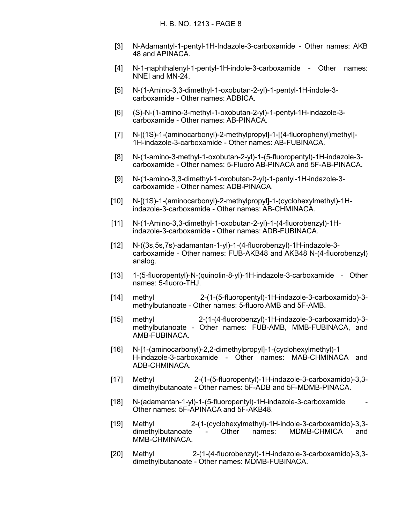- [3] N-Adamantyl-1-pentyl-1H-Indazole-3-carboxamide Other names: AKB 48 and APINACA.
- [4] N-1-naphthalenyl-1-pentyl-1H-indole-3-carboxamide Other names: NNEI and MN-24.
- [5] N-(1-Amino-3,3-dimethyl-1-oxobutan-2-yl)-1-pentyl-1H-indole-3 carboxamide - Other names: ADBICA.
- [6] (S)-N-(1-amino-3-methyl-1-oxobutan-2-yl)-1-pentyl-1H-indazole-3 carboxamide - Other names: AB-PINACA.
- [7] N-[(1S)-1-(aminocarbonyl)-2-methylpropyl]-1-[(4-fluorophenyl)methyl]- 1H-indazole-3-carboxamide - Other names: AB-FUBINACA.
- [8] N-(1-amino-3-methyl-1-oxobutan-2-yl)-1-(5-fluoropentyl)-1H-indazole-3 carboxamide - Other names: 5-Fluoro AB-PINACA and 5F-AB-PINACA.
- [9] N-(1-amino-3,3-dimethyl-1-oxobutan-2-yl)-1-pentyl-1H-indazole-3 carboxamide - Other names: ADB-PINACA.
- [10] N-[(1S)-1-(aminocarbonyl)-2-methylpropyl]-1-(cyclohexylmethyl)-1Hindazole-3-carboxamide - Other names: AB-CHMINACA.
- [11] N-(1-Amino-3,3-dimethyl-1-oxobutan-2-yl)-1-(4-fluorobenzyl)-1Hindazole-3-carboxamide - Other names: ADB-FUBINACA.
- [12] N-((3s,5s,7s)-adamantan-1-yl)-1-(4-fluorobenzyl)-1H-indazole-3 carboxamide - Other names: FUB-AKB48 and AKB48 N-(4-fluorobenzyl) analog.
- [13] 1-(5-fluoropentyl)-N-(quinolin-8-yl)-1H-indazole-3-carboxamide Other names: 5-fluoro-THJ.
- [14] methyl 2-(1-(5-fluoropentyl)-1H-indazole-3-carboxamido)-3 methylbutanoate - Other names: 5-fluoro AMB and 5F-AMB.
- [15] methyl 2-(1-(4-fluorobenzyl)-1H-indazole-3-carboxamido)-3 methylbutanoate - Other names: FUB-AMB, MMB-FUBINACA, and AMB-FUBINACA.
- [16] N-[1-(aminocarbonyl)-2,2-dimethylpropyl]-1-(cyclohexylmethyl)-1 H-indazole-3-carboxamide - Other names: MAB-CHMINACA and ADB-CHMINACA.
- [17] Methyl 2-(1-(5-fluoropentyl)-1H-indazole-3-carboxamido)-3,3 dimethylbutanoate - Other names: 5F-ADB and 5F-MDMB-PINACA.
- [18] N-(adamantan-1-yl)-1-(5-fluoropentyl)-1H-indazole-3-carboxamide Other names: 5F-APINACA and 5F-AKB48.
- [19] Methyl 2-(1-(cyclohexylmethyl)-1H-indole-3-carboxamido)-3,3 dimethylbutanoate - Other names: MDMB-CHMICA and MMB-CHMINACA.
- [20] Methyl 2-(1-(4-fluorobenzyl)-1H-indazole-3-carboxamido)-3,3 dimethylbutanoate - Other names: MDMB-FUBINACA.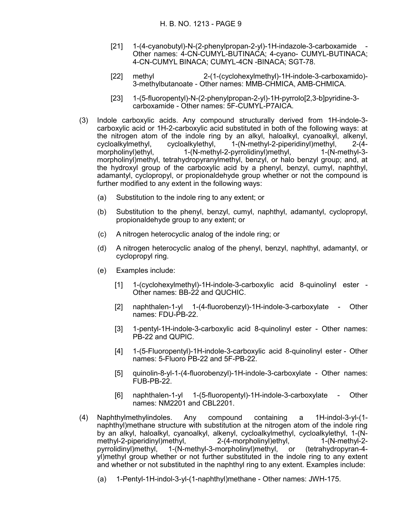- [21] 1-(4-cyanobutyl)-N-(2-phenylpropan-2-yl)-1H-indazole-3-carboxamide Other names: 4-CN-CUMYL-BUTINACA; 4-cyano- CUMYL-BUTINACA; 4-CN-CUMYL BINACA; CUMYL-4CN -BINACA; SGT-78.
- [22] methyl 2-(1-(cyclohexylmethyl)-1H-indole-3-carboxamido)- 3-methylbutanoate - Other names: MMB-CHMICA, AMB-CHMICA.
- [23] 1-(5-fluoropentyl)-N-(2-phenylpropan-2-yl)-1H-pyrrolo[2,3-b]pyridine-3 carboxamide - Other names: 5F-CUMYL-P7AICA.
- (3) Indole carboxylic acids. Any compound structurally derived from 1H-indole-3 carboxylic acid or 1H-2-carboxylic acid substituted in both of the following ways: at the nitrogen atom of the indole ring by an alkyl, haloalkyl, cyanoalkyl, alkenyl, cycloalkylmethyl, cycloalkylethyl, 1-(N-methyl-2-piperidinyl)methyl, 2-(4 morpholinyl)ethyl, 1-(N-methyl-2-pyrrolidinyl)methyl, 1-(N-methyl-3 morpholinyl)methyl, tetrahydropyranylmethyl, benzyl, or halo benzyl group; and, at the hydroxyl group of the carboxylic acid by a phenyl, benzyl, cumyl, naphthyl, adamantyl, cyclopropyl, or propionaldehyde group whether or not the compound is further modified to any extent in the following ways:
	- (a) Substitution to the indole ring to any extent; or
	- (b) Substitution to the phenyl, benzyl, cumyl, naphthyl, adamantyl, cyclopropyl, propionaldehyde group to any extent; or
	- (c) A nitrogen heterocyclic analog of the indole ring; or
	- (d) A nitrogen heterocyclic analog of the phenyl, benzyl, naphthyl, adamantyl, or cyclopropyl ring.
	- (e) Examples include:
		- [1] 1-(cyclohexylmethyl)-1H-indole-3-carboxylic acid 8-quinolinyl ester Other names: BB-22 and QUCHIC.
		- [2] naphthalen-1-yl 1-(4-fluorobenzyl)-1H-indole-3-carboxylate Other names: FDU-PB-22.
		- [3] 1-pentyl-1H-indole-3-carboxylic acid 8-quinolinyl ester Other names: PB-22 and QUPIC.
		- [4] 1-(5-Fluoropentyl)-1H-indole-3-carboxylic acid 8-quinolinyl ester Other names: 5-Fluoro PB-22 and 5F-PB-22.
		- [5] quinolin-8-yl-1-(4-fluorobenzyl)-1H-indole-3-carboxylate Other names: FUB-PB-22.
		- [6] naphthalen-1-yl 1-(5-fluoropentyl)-1H-indole-3-carboxylate Other names: NM2201 and CBL2201.
- (4) Naphthylmethylindoles. Any compound containing a 1H-indol-3-yl-(1 naphthyl)methane structure with substitution at the nitrogen atom of the indole ring by an alkyl, haloalkyl, cyanoalkyl, alkenyl, cycloalkylmethyl, cycloalkylethyl, 1-(Nmethyl-2-piperidinyl)methyl, 2-(4-morpholinyl)ethyl, 1-(N-methyl-2pyrrolidinyl)methyl, 1-(N-methyl-3-morpholinyl)methyl, or (tetrahydropyran-4 yl)methyl group whether or not further substituted in the indole ring to any extent and whether or not substituted in the naphthyl ring to any extent. Examples include:
	- (a) 1-Pentyl-1H-indol-3-yl-(1-naphthyl)methane Other names: JWH-175.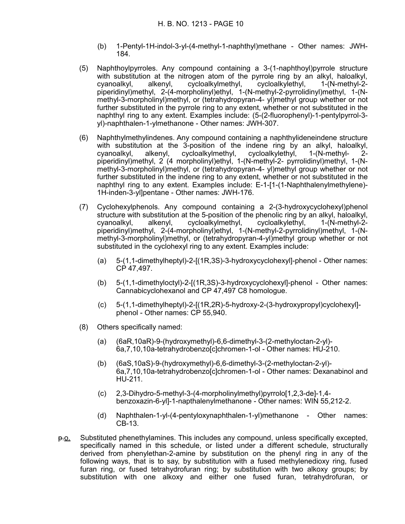- (b) 1-Pentyl-1H-indol-3-yl-(4-methyl-1-naphthyl)methane Other names: JWH-184.
- (5) Naphthoylpyrroles. Any compound containing a 3-(1-naphthoyl)pyrrole structure with substitution at the nitrogen atom of the pyrrole ring by an alkyl, haloalkyl, cyanoalkyl, alkenyl, cycloalkylmethyl, cycloalkylethyl, 1-(N-methyl-2 piperidinyl)methyl, 2-(4-morpholinyl)ethyl, 1-(N-methyl-2-pyrrolidinyl)methyl, 1-(Nmethyl-3-morpholinyl)methyl, or (tetrahydropyran-4- yl)methyl group whether or not further substituted in the pyrrole ring to any extent, whether or not substituted in the naphthyl ring to any extent. Examples include: (5-(2-fluorophenyl)-1-pentylpyrrol-3 yl)-naphthalen-1-ylmethanone - Other names: JWH-307.
- (6) Naphthylmethylindenes. Any compound containing a naphthylideneindene structure with substitution at the 3-position of the indene ring by an alkyl, haloalkyl, cyanoalkyl, alkenyl, cycloalkylmethyl, cycloalkylethyl, 1-(N-methyl- 2 piperidinyl)methyl, 2 (4 morpholinyl)ethyl, 1-(N-methyl-2- pyrrolidinyl)methyl, 1-(Nmethyl-3-morpholinyl)methyl, or (tetrahydropyran-4- yl)methyl group whether or not further substituted in the indene ring to any extent, whether or not substituted in the naphthyl ring to any extent. Examples include: E-1-[1-(1-Naphthalenylmethylene)- 1H-inden-3-yl]pentane - Other names: JWH-176.
- (7) Cyclohexylphenols. Any compound containing a 2-(3-hydroxycyclohexyl)phenol structure with substitution at the 5-position of the phenolic ring by an alkyl, haloalkyl, cyanoalkyl, alkenyl, cycloalkylmethyl, cycloalkylethyl, 1-(N-methyl-2 piperidinyl)methyl, 2-(4-morpholinyl)ethyl, 1-(N-methyl-2-pyrrolidinyl)methyl, 1-(Nmethyl-3-morpholinyl)methyl, or (tetrahydropyran-4-yl)methyl group whether or not substituted in the cyclohexyl ring to any extent. Examples include:
	- (a) 5-(1,1-dimethylheptyl)-2-[(1R,3S)-3-hydroxycyclohexyl]-phenol Other names: CP 47,497.
	- (b) 5-(1,1-dimethyloctyl)-2-[(1R,3S)-3-hydroxycyclohexyl]-phenol Other names: Cannabicyclohexanol and CP 47,497 C8 homologue.
	- (c) 5-(1,1-dimethylheptyl)-2-[(1R,2R)-5-hydroxy-2-(3-hydroxypropyl)cyclohexyl] phenol - Other names: CP 55,940.
- (8) Others specifically named:
	- (a) (6aR,10aR)-9-(hydroxymethyl)-6,6-dimethyl-3-(2-methyloctan-2-yl)- 6a,7,10,10a-tetrahydrobenzo[c]chromen-1-ol - Other names: HU-210.
	- (b) (6aS,10aS)-9-(hydroxymethyl)-6,6-dimethyl-3-(2-methyloctan-2-yl)- 6a,7,10,10a-tetrahydrobenzo[c]chromen-1-ol - Other names: Dexanabinol and HU-211.
	- (c) 2,3-Dihydro-5-methyl-3-(4-morpholinylmethyl)pyrrolo[1,2,3-de]-1,4 benzoxazin-6-yl]-1-napthalenylmethanone - Other names: WIN 55,212-2.
	- (d) Naphthalen-1-yl-(4-pentyloxynaphthalen-1-yl)methanone Other names: CB-13.
- p.o. Substituted phenethylamines. This includes any compound, unless specifically excepted, specifically named in this schedule, or listed under a different schedule, structurally derived from phenylethan-2-amine by substitution on the phenyl ring in any of the following ways, that is to say, by substitution with a fused methylenedioxy ring, fused furan ring, or fused tetrahydrofuran ring; by substitution with two alkoxy groups; by substitution with one alkoxy and either one fused furan, tetrahydrofuran, or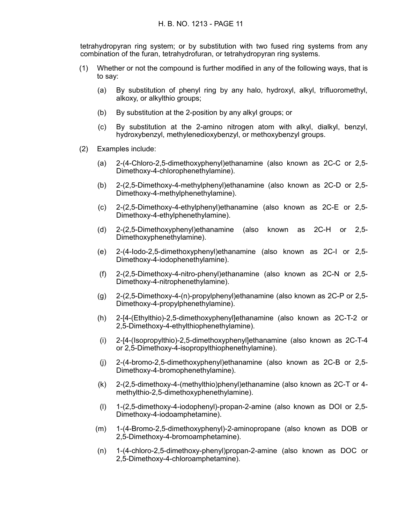tetrahydropyran ring system; or by substitution with two fused ring systems from any combination of the furan, tetrahydrofuran, or tetrahydropyran ring systems.

- (1) Whether or not the compound is further modified in any of the following ways, that is to say:
	- (a) By substitution of phenyl ring by any halo, hydroxyl, alkyl, trifluoromethyl, alkoxy, or alkylthio groups;
	- (b) By substitution at the 2-position by any alkyl groups; or
	- (c) By substitution at the 2-amino nitrogen atom with alkyl, dialkyl, benzyl, hydroxybenzyl, methylenedioxybenzyl, or methoxybenzyl groups.
- (2) Examples include:
	- (a) 2-(4-Chloro-2,5-dimethoxyphenyl)ethanamine (also known as 2C-C or 2,5- Dimethoxy-4-chlorophenethylamine).
	- (b) 2-(2,5-Dimethoxy-4-methylphenyl)ethanamine (also known as 2C-D or 2,5- Dimethoxy-4-methylphenethylamine).
	- (c) 2-(2,5-Dimethoxy-4-ethylphenyl)ethanamine (also known as 2C-E or 2,5- Dimethoxy-4-ethylphenethylamine).
	- (d) 2-(2,5-Dimethoxyphenyl)ethanamine (also known as 2C-H or 2,5- Dimethoxyphenethylamine).
	- (e) 2-(4-Iodo-2,5-dimethoxyphenyl)ethanamine (also known as 2C-I or 2,5- Dimethoxy-4-iodophenethylamine).
	- (f) 2-(2,5-Dimethoxy-4-nitro-phenyl)ethanamine (also known as 2C-N or 2,5- Dimethoxy-4-nitrophenethylamine).
	- (g) 2-(2,5-Dimethoxy-4-(n)-propylphenyl)ethanamine (also known as 2C-P or 2,5- Dimethoxy-4-propylphenethylamine).
	- (h) 2-[4-(Ethylthio)-2,5-dimethoxyphenyl]ethanamine (also known as 2C-T-2 or 2,5-Dimethoxy-4-ethylthiophenethylamine).
	- (i) 2-[4-(Isopropylthio)-2,5-dimethoxyphenyl]ethanamine (also known as 2C-T-4 or 2,5-Dimethoxy-4-isopropylthiophenethylamine).
	- (j) 2-(4-bromo-2,5-dimethoxyphenyl)ethanamine (also known as 2C-B or 2,5- Dimethoxy-4-bromophenethylamine).
	- (k) 2-(2,5-dimethoxy-4-(methylthio)phenyl)ethanamine (also known as 2C-T or 4 methylthio-2,5-dimethoxyphenethylamine).
	- (l) 1-(2,5-dimethoxy-4-iodophenyl)-propan-2-amine (also known as DOI or 2,5- Dimethoxy-4-iodoamphetamine).
	- (m) 1-(4-Bromo-2,5-dimethoxyphenyl)-2-aminopropane (also known as DOB or 2,5-Dimethoxy-4-bromoamphetamine).
	- (n) 1-(4-chloro-2,5-dimethoxy-phenyl)propan-2-amine (also known as DOC or 2,5-Dimethoxy-4-chloroamphetamine).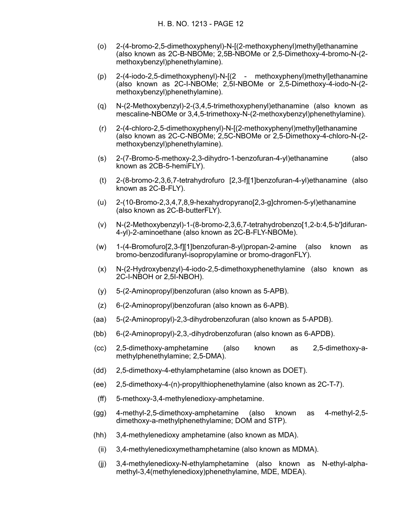- (o) 2-(4-bromo-2,5-dimethoxyphenyl)-N-[(2-methoxyphenyl)methyl]ethanamine (also known as 2C-B-NBOMe; 2,5B-NBOMe or 2,5-Dimethoxy-4-bromo-N-(2 methoxybenzyl)phenethylamine).
- (p) 2-(4-iodo-2,5-dimethoxyphenyl)-N-[(2 methoxyphenyl)methyl]ethanamine (also known as 2C-I-NBOMe; 2,5I-NBOMe or 2,5-Dimethoxy-4-iodo-N-(2 methoxybenzyl)phenethylamine).
- (q) N-(2-Methoxybenzyl)-2-(3,4,5-trimethoxyphenyl)ethanamine (also known as mescaline-NBOMe or 3,4,5-trimethoxy-N-(2-methoxybenzyl)phenethylamine).
- (r) 2-(4-chloro-2,5-dimethoxyphenyl)-N-[(2-methoxyphenyl)methyl]ethanamine (also known as 2C-C-NBOMe; 2,5C-NBOMe or 2,5-Dimethoxy-4-chloro-N-(2 methoxybenzyl)phenethylamine).
- (s) 2-(7-Bromo-5-methoxy-2,3-dihydro-1-benzofuran-4-yl)ethanamine (also known as 2CB-5-hemiFLY).
- (t) 2-(8-bromo-2,3,6,7-tetrahydrofuro [2,3-f][1]benzofuran-4-yl)ethanamine (also known as 2C-B-FLY).
- (u) 2-(10-Bromo-2,3,4,7,8,9-hexahydropyrano[2,3-g]chromen-5-yl)ethanamine (also known as 2C-B-butterFLY).
- (v) N-(2-Methoxybenzyl)-1-(8-bromo-2,3,6,7-tetrahydrobenzo[1,2-b:4,5-b']difuran-4-yl)-2-aminoethane (also known as 2C-B-FLY-NBOMe).
- (w) 1-(4-Bromofuro[2,3-f][1]benzofuran-8-yl)propan-2-amine (also known as bromo-benzodifuranyl-isopropylamine or bromo-dragonFLY).
- (x) N-(2-Hydroxybenzyl)-4-iodo-2,5-dimethoxyphenethylamine (also known as 2C-I-NBOH or 2,5I-NBOH).
- (y) 5-(2-Aminopropyl)benzofuran (also known as 5-APB).
- (z) 6-(2-Aminopropyl)benzofuran (also known as 6-APB).
- (aa) 5-(2-Aminopropyl)-2,3-dihydrobenzofuran (also known as 5-APDB).
- (bb) 6-(2-Aminopropyl)-2,3,-dihydrobenzofuran (also known as 6-APDB).
- (cc) 2,5-dimethoxy-amphetamine (also known as 2,5-dimethoxy-amethylphenethylamine; 2,5-DMA).
- (dd) 2,5-dimethoxy-4-ethylamphetamine (also known as DOET).
- (ee) 2,5-dimethoxy-4-(n)-propylthiophenethylamine (also known as 2C-T-7).
- (ff) 5-methoxy-3,4-methylenedioxy-amphetamine.
- (gg) 4-methyl-2,5-dimethoxy-amphetamine (also known as 4-methyl-2,5 dimethoxy-a-methylphenethylamine; DOM and STP).
- (hh) 3,4-methylenedioxy amphetamine (also known as MDA).
	- (ii) 3,4-methylenedioxymethamphetamine (also known as MDMA).
	- (jj) 3,4-methylenedioxy-N-ethylamphetamine (also known as N-ethyl-alphamethyl-3,4(methylenedioxy)phenethylamine, MDE, MDEA).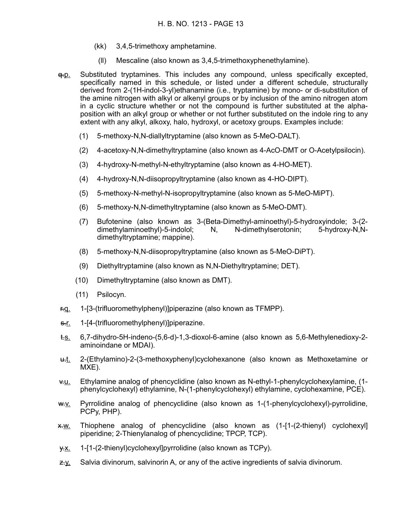- (kk) 3,4,5-trimethoxy amphetamine.
- (ll) Mescaline (also known as 3,4,5-trimethoxyphenethylamine).
- q.p. Substituted tryptamines. This includes any compound, unless specifically excepted, specifically named in this schedule, or listed under a different schedule, structurally derived from 2-(1H-indol-3-yl)ethanamine (i.e., tryptamine) by mono- or di-substitution of the amine nitrogen with alkyl or alkenyl groups or by inclusion of the amino nitrogen atom in a cyclic structure whether or not the compound is further substituted at the alphaposition with an alkyl group or whether or not further substituted on the indole ring to any extent with any alkyl, alkoxy, halo, hydroxyl, or acetoxy groups. Examples include:
	- (1) 5-methoxy-N,N-diallyltryptamine (also known as 5-MeO-DALT).
	- (2) 4-acetoxy-N,N-dimethyltryptamine (also known as 4-AcO-DMT or O-Acetylpsilocin).
	- (3) 4-hydroxy-N-methyl-N-ethyltryptamine (also known as 4-HO-MET).
	- (4) 4-hydroxy-N,N-diisopropyltryptamine (also known as 4-HO-DIPT).
	- (5) 5-methoxy-N-methyl-N-isopropyltryptamine (also known as 5-MeO-MiPT).
	- (6) 5-methoxy-N,N-dimethyltryptamine (also known as 5-MeO-DMT).
	- (7) Bufotenine (also known as 3-(Beta-Dimethyl-aminoethyl)-5-hydroxyindole; 3-(2 dimethylaminoethyl)-5-indolol; N, N-dimethylserotonin; 5-hydroxy-N,Ndimethyltryptamine; mappine).
	- (8) 5-methoxy-N,N-diisopropyltryptamine (also known as 5-MeO-DiPT).
	- (9) Diethyltryptamine (also known as N,N-Diethyltryptamine; DET).
	- (10) Dimethyltryptamine (also known as DMT).
	- (11) Psilocyn.
- r.q. 1-[3-(trifluoromethylphenyl)]piperazine (also known as TFMPP).
- s.r. 1-[4-(trifluoromethylphenyl)]piperazine.
- t.s. 6,7-dihydro-5H-indeno-(5,6-d)-1,3-dioxol-6-amine (also known as 5,6-Methylenedioxy-2 aminoindane or MDAI).
- u.t. 2-(Ethylamino)-2-(3-methoxyphenyl)cyclohexanone (also known as Methoxetamine or MXE).
- v.u. Ethylamine analog of phencyclidine (also known as N-ethyl-1-phenylcyclohexylamine, (1 phenylcyclohexyl) ethylamine, N-(1-phenylcyclohexyl) ethylamine, cyclohexamine, PCE).
- w.v. Pyrrolidine analog of phencyclidine (also known as 1-(1-phenylcyclohexyl)-pyrrolidine, PCPy, PHP).
- x.w. Thiophene analog of phencyclidine (also known as (1-[1-(2-thienyl) cyclohexyl] piperidine; 2-Thienylanalog of phencyclidine; TPCP, TCP).
- $\frac{y}{x}$ . 1-[1-(2-thienyl)cyclohexyl]pyrrolidine (also known as TCPy).
- $z-x$ . Salvia divinorum, salvinorin A, or any of the active ingredients of salvia divinorum.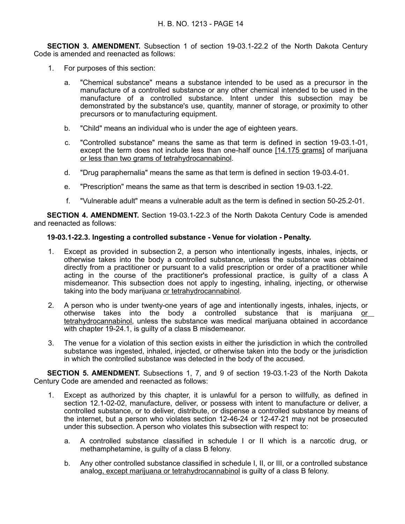**SECTION 3. AMENDMENT.** Subsection 1 of section 19-03.1-22.2 of the North Dakota Century Code is amended and reenacted as follows:

- 1. For purposes of this section:
	- a. "Chemical substance" means a substance intended to be used as a precursor in the manufacture of a controlled substance or any other chemical intended to be used in the manufacture of a controlled substance. Intent under this subsection may be demonstrated by the substance's use, quantity, manner of storage, or proximity to other precursors or to manufacturing equipment.
	- b. "Child" means an individual who is under the age of eighteen years.
	- c. "Controlled substance" means the same as that term is defined in section 19-03.1-01, except the term does not include less than one-half ounce [14.175 grams] of marijuana or less than two grams of tetrahydrocannabinol.
	- d. "Drug paraphernalia" means the same as that term is defined in section 19-03.4-01.
	- e. "Prescription" means the same as that term is described in section 19-03.1-22.
	- f. "Vulnerable adult" means a vulnerable adult as the term is defined in section 50-25.2-01.

**SECTION 4. AMENDMENT.** Section 19-03.1-22.3 of the North Dakota Century Code is amended and reenacted as follows:

# **19-03.1-22.3. Ingesting a controlled substance - Venue for violation - Penalty.**

- 1. Except as provided in subsection 2, a person who intentionally ingests, inhales, injects, or otherwise takes into the body a controlled substance, unless the substance was obtained directly from a practitioner or pursuant to a valid prescription or order of a practitioner while acting in the course of the practitioner's professional practice, is guilty of a class A misdemeanor. This subsection does not apply to ingesting, inhaling, injecting, or otherwise taking into the body marijuana or tetrahydrocannabinol.
- 2. A person who is under twenty-one years of age and intentionally ingests, inhales, injects, or otherwise takes into the body a controlled substance that is marijuana or tetrahydrocannabinol, unless the substance was medical marijuana obtained in accordance with chapter 19-24.1, is guilty of a class B misdemeanor.
- 3. The venue for a violation of this section exists in either the jurisdiction in which the controlled substance was ingested, inhaled, injected, or otherwise taken into the body or the jurisdiction in which the controlled substance was detected in the body of the accused.

**SECTION 5. AMENDMENT.** Subsections 1, 7, and 9 of section 19-03.1-23 of the North Dakota Century Code are amended and reenacted as follows:

- 1. Except as authorized by this chapter, it is unlawful for a person to willfully, as defined in section 12.1-02-02, manufacture, deliver, or possess with intent to manufacture or deliver, a controlled substance, or to deliver, distribute, or dispense a controlled substance by means of the internet, but a person who violates section 12-46-24 or 12-47-21 may not be prosecuted under this subsection. A person who violates this subsection with respect to:
	- a. A controlled substance classified in schedule I or II which is a narcotic drug, or methamphetamine, is guilty of a class B felony.
	- b. Any other controlled substance classified in schedule I, II, or III, or a controlled substance analog, except marijuana or tetrahydrocannabinol is guilty of a class B felony.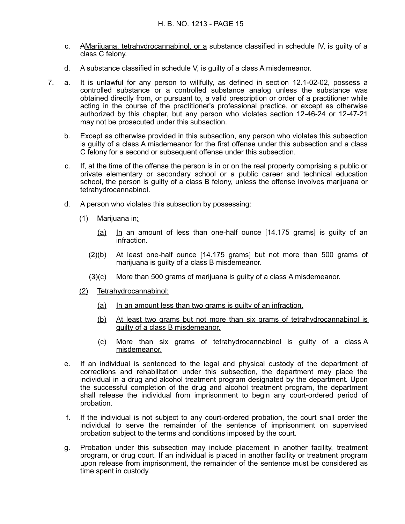- c. AMarijuana, tetrahydrocannabinol, or a substance classified in schedule IV, is guilty of a class C felony.
- d. A substance classified in schedule V, is guilty of a class A misdemeanor.
- 7. a. It is unlawful for any person to willfully, as defined in section 12.1-02-02, possess a controlled substance or a controlled substance analog unless the substance was obtained directly from, or pursuant to, a valid prescription or order of a practitioner while acting in the course of the practitioner's professional practice, or except as otherwise authorized by this chapter, but any person who violates section 12-46-24 or 12-47-21 may not be prosecuted under this subsection.
	- b. Except as otherwise provided in this subsection, any person who violates this subsection is guilty of a class A misdemeanor for the first offense under this subsection and a class C felony for a second or subsequent offense under this subsection.
	- c. If, at the time of the offense the person is in or on the real property comprising a public or private elementary or secondary school or a public career and technical education school, the person is guilty of a class B felony, unless the offense involves marijuana or tetrahydrocannabinol.
	- d. A person who violates this subsection by possessing:
		- $(1)$  Marijuana in:
			- (a) In an amount of less than one-half ounce [14.175 grams] is guilty of an infraction.
			- $(2)(b)$  At least one-half ounce [14.175 grams] but not more than 500 grams of marijuana is guilty of a class B misdemeanor.
			- $(3)(c)$  More than 500 grams of marijuana is guilty of a class A misdemeanor.
		- (2) Tetrahydrocannabinol:
			- (a) In an amount less than two grams is guilty of an infraction.
			- (b) At least two grams but not more than six grams of tetrahydrocannabinol is guilty of a class B misdemeanor.
			- (c) More than six grams of tetrahydrocannabinol is guilty of a class A misdemeanor.
	- e. If an individual is sentenced to the legal and physical custody of the department of corrections and rehabilitation under this subsection, the department may place the individual in a drug and alcohol treatment program designated by the department. Upon the successful completion of the drug and alcohol treatment program, the department shall release the individual from imprisonment to begin any court-ordered period of probation.
	- f. If the individual is not subject to any court-ordered probation, the court shall order the individual to serve the remainder of the sentence of imprisonment on supervised probation subject to the terms and conditions imposed by the court.
	- g. Probation under this subsection may include placement in another facility, treatment program, or drug court. If an individual is placed in another facility or treatment program upon release from imprisonment, the remainder of the sentence must be considered as time spent in custody.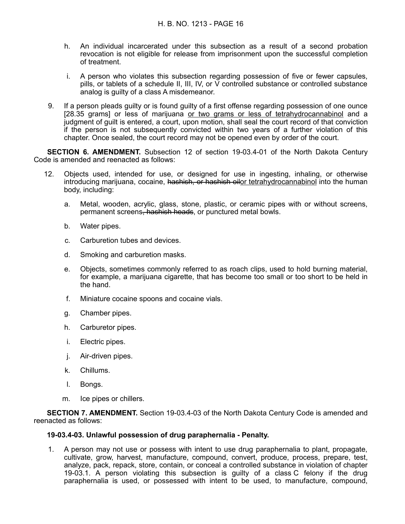- h. An individual incarcerated under this subsection as a result of a second probation revocation is not eligible for release from imprisonment upon the successful completion of treatment.
- i. A person who violates this subsection regarding possession of five or fewer capsules, pills, or tablets of a schedule II, III, IV, or V controlled substance or controlled substance analog is guilty of a class A misdemeanor.
- 9. If a person pleads guilty or is found guilty of a first offense regarding possession of one ounce [28.35 grams] or less of marijuana or two grams or less of tetrahydrocannabinol and a judgment of guilt is entered, a court, upon motion, shall seal the court record of that conviction if the person is not subsequently convicted within two years of a further violation of this chapter. Once sealed, the court record may not be opened even by order of the court.

**SECTION 6. AMENDMENT.** Subsection 12 of section 19-03.4-01 of the North Dakota Century Code is amended and reenacted as follows:

- 12. Objects used, intended for use, or designed for use in ingesting, inhaling, or otherwise introducing marijuana, cocaine, hashish, or hashish oilor tetrahydrocannabinol into the human body, including:
	- a. Metal, wooden, acrylic, glass, stone, plastic, or ceramic pipes with or without screens, permanent screens, hashish heads, or punctured metal bowls.
	- b. Water pipes.
	- c. Carburetion tubes and devices.
	- d. Smoking and carburetion masks.
	- e. Objects, sometimes commonly referred to as roach clips, used to hold burning material, for example, a marijuana cigarette, that has become too small or too short to be held in the hand.
	- f. Miniature cocaine spoons and cocaine vials.
	- g. Chamber pipes.
	- h. Carburetor pipes.
	- i. Electric pipes.
	- j. Air-driven pipes.
	- k. Chillums.
	- l. Bongs.
	- m. Ice pipes or chillers.

**SECTION 7. AMENDMENT.** Section 19-03.4-03 of the North Dakota Century Code is amended and reenacted as follows:

#### **19-03.4-03. Unlawful possession of drug paraphernalia - Penalty.**

1. A person may not use or possess with intent to use drug paraphernalia to plant, propagate, cultivate, grow, harvest, manufacture, compound, convert, produce, process, prepare, test, analyze, pack, repack, store, contain, or conceal a controlled substance in violation of chapter 19-03.1. A person violating this subsection is guilty of a class C felony if the drug paraphernalia is used, or possessed with intent to be used, to manufacture, compound,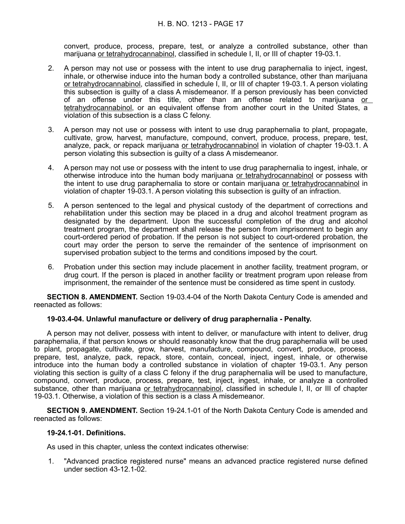convert, produce, process, prepare, test, or analyze a controlled substance, other than marijuana or tetrahydrocannabinol, classified in schedule I, II, or III of chapter 19-03.1.

- 2. A person may not use or possess with the intent to use drug paraphernalia to inject, ingest, inhale, or otherwise induce into the human body a controlled substance, other than marijuana or tetrahydrocannabinol, classified in schedule I, II, or III of chapter 19-03.1. A person violating this subsection is guilty of a class A misdemeanor. If a person previously has been convicted of an offense under this title, other than an offense related to marijuana or tetrahydrocannabinol, or an equivalent offense from another court in the United States, a violation of this subsection is a class C felony.
- 3. A person may not use or possess with intent to use drug paraphernalia to plant, propagate, cultivate, grow, harvest, manufacture, compound, convert, produce, process, prepare, test, analyze, pack, or repack marijuana or tetrahydrocannabinol in violation of chapter 19-03.1. A person violating this subsection is guilty of a class A misdemeanor.
- 4. A person may not use or possess with the intent to use drug paraphernalia to ingest, inhale, or otherwise introduce into the human body marijuana or tetrahydrocannabinol or possess with the intent to use drug paraphernalia to store or contain marijuana or tetrahydrocannabinol in violation of chapter 19-03.1. A person violating this subsection is guilty of an infraction.
- 5. A person sentenced to the legal and physical custody of the department of corrections and rehabilitation under this section may be placed in a drug and alcohol treatment program as designated by the department. Upon the successful completion of the drug and alcohol treatment program, the department shall release the person from imprisonment to begin any court-ordered period of probation. If the person is not subject to court-ordered probation, the court may order the person to serve the remainder of the sentence of imprisonment on supervised probation subject to the terms and conditions imposed by the court.
- 6. Probation under this section may include placement in another facility, treatment program, or drug court. If the person is placed in another facility or treatment program upon release from imprisonment, the remainder of the sentence must be considered as time spent in custody.

**SECTION 8. AMENDMENT.** Section 19-03.4-04 of the North Dakota Century Code is amended and reenacted as follows:

#### **19-03.4-04. Unlawful manufacture or delivery of drug paraphernalia - Penalty.**

A person may not deliver, possess with intent to deliver, or manufacture with intent to deliver, drug paraphernalia, if that person knows or should reasonably know that the drug paraphernalia will be used to plant, propagate, cultivate, grow, harvest, manufacture, compound, convert, produce, process, prepare, test, analyze, pack, repack, store, contain, conceal, inject, ingest, inhale, or otherwise introduce into the human body a controlled substance in violation of chapter 19-03.1. Any person violating this section is guilty of a class C felony if the drug paraphernalia will be used to manufacture, compound, convert, produce, process, prepare, test, inject, ingest, inhale, or analyze a controlled substance, other than marijuana or tetrahydrocannabinol, classified in schedule I, II, or III of chapter 19-03.1. Otherwise, a violation of this section is a class A misdemeanor.

**SECTION 9. AMENDMENT.** Section 19-24.1-01 of the North Dakota Century Code is amended and reenacted as follows:

#### **19-24.1-01. Definitions.**

As used in this chapter, unless the context indicates otherwise:

1. "Advanced practice registered nurse" means an advanced practice registered nurse defined under section 43-12.1-02.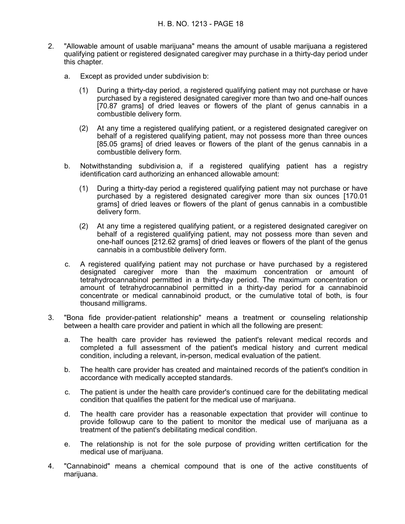- 2. "Allowable amount of usable marijuana" means the amount of usable marijuana a registered qualifying patient or registered designated caregiver may purchase in a thirty-day period under this chapter.
	- a. Except as provided under subdivision b:
		- (1) During a thirty-day period, a registered qualifying patient may not purchase or have purchased by a registered designated caregiver more than two and one-half ounces [70.87 grams] of dried leaves or flowers of the plant of genus cannabis in a combustible delivery form.
		- (2) At any time a registered qualifying patient, or a registered designated caregiver on behalf of a registered qualifying patient, may not possess more than three ounces [85.05 grams] of dried leaves or flowers of the plant of the genus cannabis in a combustible delivery form.
	- b. Notwithstanding subdivision a, if a registered qualifying patient has a registry identification card authorizing an enhanced allowable amount:
		- (1) During a thirty-day period a registered qualifying patient may not purchase or have purchased by a registered designated caregiver more than six ounces [170.01 grams] of dried leaves or flowers of the plant of genus cannabis in a combustible delivery form.
		- (2) At any time a registered qualifying patient, or a registered designated caregiver on behalf of a registered qualifying patient, may not possess more than seven and one-half ounces [212.62 grams] of dried leaves or flowers of the plant of the genus cannabis in a combustible delivery form.
	- c. A registered qualifying patient may not purchase or have purchased by a registered designated caregiver more than the maximum concentration or amount of tetrahydrocannabinol permitted in a thirty-day period. The maximum concentration or amount of tetrahydrocannabinol permitted in a thirty-day period for a cannabinoid concentrate or medical cannabinoid product, or the cumulative total of both, is four thousand milligrams.
- 3. "Bona fide provider-patient relationship" means a treatment or counseling relationship between a health care provider and patient in which all the following are present:
	- a. The health care provider has reviewed the patient's relevant medical records and completed a full assessment of the patient's medical history and current medical condition, including a relevant, in-person, medical evaluation of the patient.
	- b. The health care provider has created and maintained records of the patient's condition in accordance with medically accepted standards.
	- c. The patient is under the health care provider's continued care for the debilitating medical condition that qualifies the patient for the medical use of marijuana.
	- d. The health care provider has a reasonable expectation that provider will continue to provide followup care to the patient to monitor the medical use of marijuana as a treatment of the patient's debilitating medical condition.
	- e. The relationship is not for the sole purpose of providing written certification for the medical use of marijuana.
- 4. "Cannabinoid" means a chemical compound that is one of the active constituents of marijuana.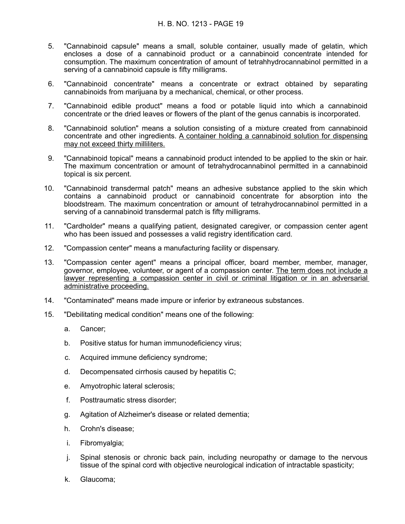- 5. "Cannabinoid capsule" means a small, soluble container, usually made of gelatin, which encloses a dose of a cannabinoid product or a cannabinoid concentrate intended for consumption. The maximum concentration of amount of tetrahhydrocannabinol permitted in a serving of a cannabinoid capsule is fifty milligrams.
- 6. "Cannabinoid concentrate" means a concentrate or extract obtained by separating cannabinoids from marijuana by a mechanical, chemical, or other process.
- 7. "Cannabinoid edible product" means a food or potable liquid into which a cannabinoid concentrate or the dried leaves or flowers of the plant of the genus cannabis is incorporated.
- 8. "Cannabinoid solution" means a solution consisting of a mixture created from cannabinoid concentrate and other ingredients. A container holding a cannabinoid solution for dispensing may not exceed thirty milliliters.
- 9. "Cannabinoid topical" means a cannabinoid product intended to be applied to the skin or hair. The maximum concentration or amount of tetrahydrocannabinol permitted in a cannabinoid topical is six percent.
- 10. "Cannabinoid transdermal patch" means an adhesive substance applied to the skin which contains a cannabinoid product or cannabinoid concentrate for absorption into the bloodstream. The maximum concentration or amount of tetrahydrocannabinol permitted in a serving of a cannabinoid transdermal patch is fifty milligrams.
- 11. "Cardholder" means a qualifying patient, designated caregiver, or compassion center agent who has been issued and possesses a valid registry identification card.
- 12. "Compassion center" means a manufacturing facility or dispensary.
- 13. "Compassion center agent" means a principal officer, board member, member, manager, governor, employee, volunteer, or agent of a compassion center. The term does not include a lawyer representing a compassion center in civil or criminal litigation or in an adversarial administrative proceeding.
- 14. "Contaminated" means made impure or inferior by extraneous substances.
- 15. "Debilitating medical condition" means one of the following:
	- a. Cancer;
	- b. Positive status for human immunodeficiency virus;
	- c. Acquired immune deficiency syndrome;
	- d. Decompensated cirrhosis caused by hepatitis C;
	- e. Amyotrophic lateral sclerosis;
	- f. Posttraumatic stress disorder;
	- g. Agitation of Alzheimer's disease or related dementia;
	- h. Crohn's disease;
	- i. Fibromyalgia;
	- j. Spinal stenosis or chronic back pain, including neuropathy or damage to the nervous tissue of the spinal cord with objective neurological indication of intractable spasticity;
	- k. Glaucoma;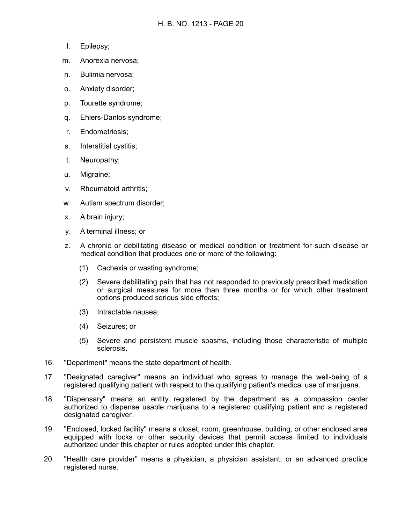- l. Epilepsy;
- m. Anorexia nervosa;
- n. Bulimia nervosa;
- o. Anxiety disorder;
- p. Tourette syndrome;
- q. Ehlers-Danlos syndrome;
- r. Endometriosis;
- s. Interstitial cystitis;
- t. Neuropathy;
- u. Migraine;
- v. Rheumatoid arthritis;
- w. Autism spectrum disorder;
- x. A brain injury;
- y. A terminal illness; or
- z. A chronic or debilitating disease or medical condition or treatment for such disease or medical condition that produces one or more of the following:
	- (1) Cachexia or wasting syndrome;
	- (2) Severe debilitating pain that has not responded to previously prescribed medication or surgical measures for more than three months or for which other treatment options produced serious side effects;
	- (3) Intractable nausea;
	- (4) Seizures; or
	- (5) Severe and persistent muscle spasms, including those characteristic of multiple sclerosis.
- 16. "Department" means the state department of health.
- 17. "Designated caregiver" means an individual who agrees to manage the well-being of a registered qualifying patient with respect to the qualifying patient's medical use of marijuana.
- 18. "Dispensary" means an entity registered by the department as a compassion center authorized to dispense usable marijuana to a registered qualifying patient and a registered designated caregiver.
- 19. "Enclosed, locked facility" means a closet, room, greenhouse, building, or other enclosed area equipped with locks or other security devices that permit access limited to individuals authorized under this chapter or rules adopted under this chapter.
- 20. "Health care provider" means a physician, a physician assistant, or an advanced practice registered nurse.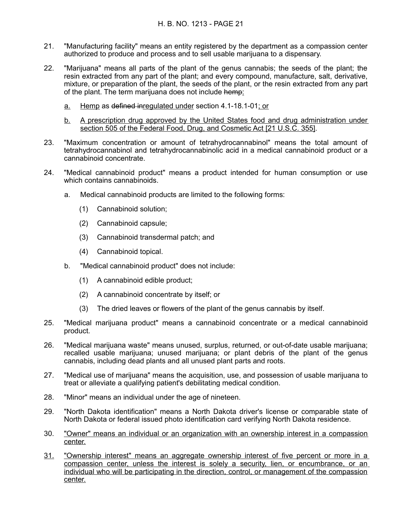- 21. "Manufacturing facility" means an entity registered by the department as a compassion center authorized to produce and process and to sell usable marijuana to a dispensary.
- 22. "Marijuana" means all parts of the plant of the genus cannabis; the seeds of the plant; the resin extracted from any part of the plant; and every compound, manufacture, salt, derivative, mixture, or preparation of the plant, the seeds of the plant, or the resin extracted from any part of the plant. The term marijuana does not include hemp:
	- a. Hemp as defined inregulated under section 4.1-18.1-01; or
	- b. A prescription drug approved by the United States food and drug administration under section 505 of the Federal Food, Drug, and Cosmetic Act [21 U.S.C. 355].
- 23. "Maximum concentration or amount of tetrahydrocannabinol" means the total amount of tetrahydrocannabinol and tetrahydrocannabinolic acid in a medical cannabinoid product or a cannabinoid concentrate.
- 24. "Medical cannabinoid product" means a product intended for human consumption or use which contains cannabinoids.
	- a. Medical cannabinoid products are limited to the following forms:
		- (1) Cannabinoid solution;
		- (2) Cannabinoid capsule;
		- (3) Cannabinoid transdermal patch; and
		- (4) Cannabinoid topical.
	- b. "Medical cannabinoid product" does not include:
		- (1) A cannabinoid edible product;
		- (2) A cannabinoid concentrate by itself; or
		- (3) The dried leaves or flowers of the plant of the genus cannabis by itself.
- 25. "Medical marijuana product" means a cannabinoid concentrate or a medical cannabinoid product.
- 26. "Medical marijuana waste" means unused, surplus, returned, or out-of-date usable marijuana; recalled usable marijuana; unused marijuana; or plant debris of the plant of the genus cannabis, including dead plants and all unused plant parts and roots.
- 27. "Medical use of marijuana" means the acquisition, use, and possession of usable marijuana to treat or alleviate a qualifying patient's debilitating medical condition.
- 28. "Minor" means an individual under the age of nineteen.
- 29. "North Dakota identification" means a North Dakota driver's license or comparable state of North Dakota or federal issued photo identification card verifying North Dakota residence.
- 30. "Owner" means an individual or an organization with an ownership interest in a compassion center.
- 31. "Ownership interest" means an aggregate ownership interest of five percent or more in a compassion center, unless the interest is solely a security, lien, or encumbrance, or an individual who will be participating in the direction, control, or management of the compassion center.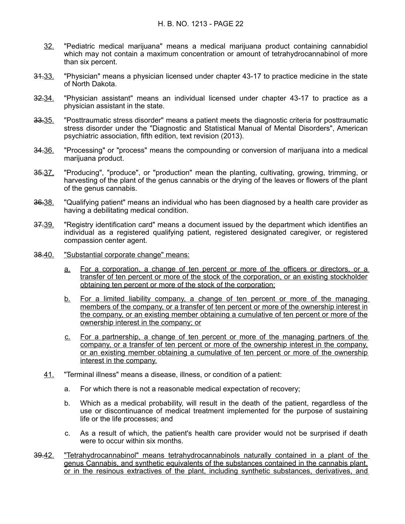- 32. "Pediatric medical marijuana" means a medical marijuana product containing cannabidiol which may not contain a maximum concentration or amount of tetrahydrocannabinol of more than six percent.
- 31.33. "Physician" means a physician licensed under chapter 43-17 to practice medicine in the state of North Dakota.
- 32.34. "Physician assistant" means an individual licensed under chapter 43-17 to practice as a physician assistant in the state.
- 33.35. "Posttraumatic stress disorder" means a patient meets the diagnostic criteria for posttraumatic stress disorder under the "Diagnostic and Statistical Manual of Mental Disorders", American psychiatric association, fifth edition, text revision (2013).
- 34.36. "Processing" or "process" means the compounding or conversion of marijuana into a medical marijuana product.
- 35.37. "Producing", "produce", or "production" mean the planting, cultivating, growing, trimming, or harvesting of the plant of the genus cannabis or the drying of the leaves or flowers of the plant of the genus cannabis.
- 36.38. "Qualifying patient" means an individual who has been diagnosed by a health care provider as having a debilitating medical condition.
- 37.39. "Registry identification card" means a document issued by the department which identifies an individual as a registered qualifying patient, registered designated caregiver, or registered compassion center agent.
- 38.40. "Substantial corporate change" means:
	- a. For a corporation, a change of ten percent or more of the officers or directors, or a transfer of ten percent or more of the stock of the corporation, or an existing stockholder obtaining ten percent or more of the stock of the corporation;
	- b. For a limited liability company, a change of ten percent or more of the managing members of the company, or a transfer of ten percent or more of the ownership interest in the company, or an existing member obtaining a cumulative of ten percent or more of the ownership interest in the company; or
	- c. For a partnership, a change of ten percent or more of the managing partners of the company, or a transfer of ten percent or more of the ownership interest in the company, or an existing member obtaining a cumulative of ten percent or more of the ownership interest in the company.
	- 41. "Terminal illness" means a disease, illness, or condition of a patient:
		- a. For which there is not a reasonable medical expectation of recovery;
		- b. Which as a medical probability, will result in the death of the patient, regardless of the use or discontinuance of medical treatment implemented for the purpose of sustaining life or the life processes; and
		- c. As a result of which, the patient's health care provider would not be surprised if death were to occur within six months.
- 39.42. "Tetrahydrocannabinol" means tetrahydrocannabinols naturally contained in a plant of the genus Cannabis, and synthetic equivalents of the substances contained in the cannabis plant, or in the resinous extractives of the plant, including synthetic substances, derivatives, and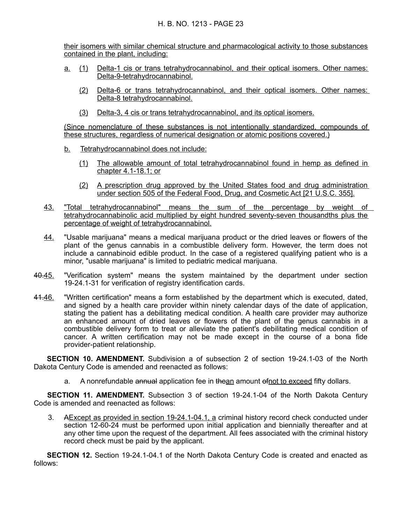their isomers with similar chemical structure and pharmacological activity to those substances contained in the plant, including:

- <u>a.</u> (1) Delta-1 cis or trans tetrahydrocannabinol, and their optical isomers. Other names: Delta-9-tetrahydrocannabinol.
	- (2) Delta-6 or trans tetrahydrocannabinol, and their optical isomers. Other names: Delta-8 tetrahydrocannabinol.
	- (3) Delta-3, 4 cis or trans tetrahydrocannabinol, and its optical isomers.

(Since nomenclature of these substances is not intentionally standardized, compounds of these structures, regardless of numerical designation or atomic positions covered.)

- b. Tetrahydrocannabinol does not include:
	- (1) The allowable amount of total tetrahydrocannabinol found in hemp as defined in chapter 4.1-18.1; or
	- (2) A prescription drug approved by the United States food and drug administration under section 505 of the Federal Food, Drug, and Cosmetic Act [21 U.S.C. 355].
- 43. "Total tetrahydrocannabinol" means the sum of the percentage by weight of tetrahydrocannabinolic acid multiplied by eight hundred seventy-seven thousandths plus the percentage of weight of tetrahydrocannabinol.
- 44. "Usable marijuana" means a medical marijuana product or the dried leaves or flowers of the plant of the genus cannabis in a combustible delivery form. However, the term does not include a cannabinoid edible product. In the case of a registered qualifying patient who is a minor, "usable marijuana" is limited to pediatric medical marijuana.
- 40.45. "Verification system" means the system maintained by the department under section 19-24.1-31 for verification of registry identification cards.
- 41.46. "Written certification" means a form established by the department which is executed, dated, and signed by a health care provider within ninety calendar days of the date of application, stating the patient has a debilitating medical condition. A health care provider may authorize an enhanced amount of dried leaves or flowers of the plant of the genus cannabis in a combustible delivery form to treat or alleviate the patient's debilitating medical condition of cancer. A written certification may not be made except in the course of a bona fide provider-patient relationship.

**SECTION 10. AMENDMENT.** Subdivision a of subsection 2 of section 19-24.1-03 of the North Dakota Century Code is amended and reenacted as follows:

a. A nonrefundable annual application fee in thean amount of not to exceed fifty dollars.

**SECTION 11. AMENDMENT.** Subsection 3 of section 19-24.1-04 of the North Dakota Century Code is amended and reenacted as follows:

3. A Except as provided in section 19-24.1-04.1, a criminal history record check conducted under section 12-60-24 must be performed upon initial application and biennially thereafter and at any other time upon the request of the department. All fees associated with the criminal history record check must be paid by the applicant.

**SECTION 12.** Section 19-24.1-04.1 of the North Dakota Century Code is created and enacted as follows: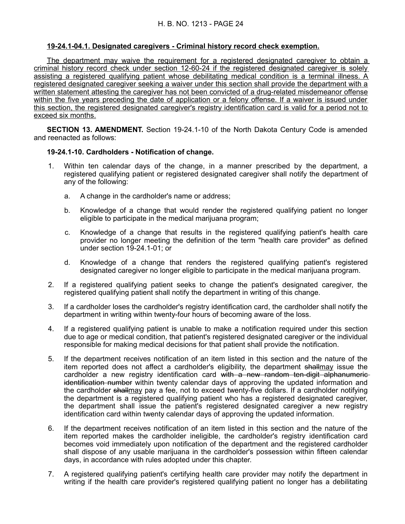# **19 - 24.1 - 04.1. Designated caregivers - Criminal history record check exemption.**

The department may waive the requirement for a registered designated caregiver to obtain a criminal history record check under section 12-60-24 if the registered designated caregiver is solely assisting a registered qualifying patient whose debilitating medical condition is a terminal illness. A registered designated caregiver seeking a waiver under this section shall provide the department with a written statement attesting the caregiver has not been convicted of a drug-related misdemeanor offense within the five years preceding the date of application or a felony offense. If a waiver is issued under this section, the registered designated caregiver's registry identification card is valid for a period not to exceed six months.

**SECTION 13. AMENDMENT.** Section 19-24.1-10 of the North Dakota Century Code is amended and reenacted as follows:

#### **19-24.1-10. Cardholders - Notification of change.**

- 1. Within ten calendar days of the change, in a manner prescribed by the department, a registered qualifying patient or registered designated caregiver shall notify the department of any of the following:
	- a. A change in the cardholder's name or address;
	- b. Knowledge of a change that would render the registered qualifying patient no longer eligible to participate in the medical marijuana program;
	- c. Knowledge of a change that results in the registered qualifying patient's health care provider no longer meeting the definition of the term "health care provider" as defined under section 19-24.1-01; or
	- d. Knowledge of a change that renders the registered qualifying patient's registered designated caregiver no longer eligible to participate in the medical marijuana program.
- 2. If a registered qualifying patient seeks to change the patient's designated caregiver, the registered qualifying patient shall notify the department in writing of this change.
- 3. If a cardholder loses the cardholder's registry identification card, the cardholder shall notify the department in writing within twenty-four hours of becoming aware of the loss.
- 4. If a registered qualifying patient is unable to make a notification required under this section due to age or medical condition, that patient's registered designated caregiver or the individual responsible for making medical decisions for that patient shall provide the notification.
- 5. If the department receives notification of an item listed in this section and the nature of the item reported does not affect a cardholder's eligibility, the department shallmay issue the cardholder a new registry identification card with a new random ten-digit alphanumericidentification number within twenty calendar days of approving the updated information and the cardholder shallmay pay a fee, not to exceed twenty-five dollars. If a cardholder notifying the department is a registered qualifying patient who has a registered designated caregiver, the department shall issue the patient's registered designated caregiver a new registry identification card within twenty calendar days of approving the updated information.
- 6. If the department receives notification of an item listed in this section and the nature of the item reported makes the cardholder ineligible, the cardholder's registry identification card becomes void immediately upon notification of the department and the registered cardholder shall dispose of any usable marijuana in the cardholder's possession within fifteen calendar days, in accordance with rules adopted under this chapter.
- 7. A registered qualifying patient's certifying health care provider may notify the department in writing if the health care provider's registered qualifying patient no longer has a debilitating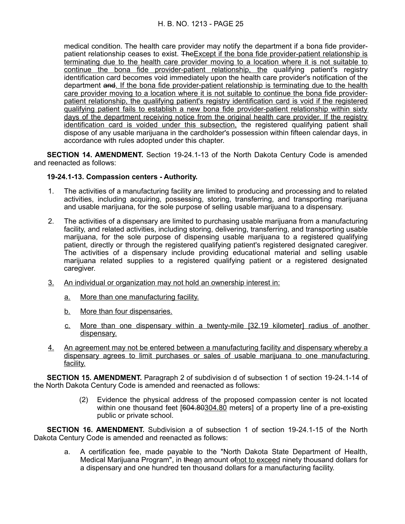medical condition. The health care provider may notify the department if a bona fide providerpatient relationship ceases to exist. TheExcept if the bona fide provider-patient relationship is terminating due to the health care provider moving to a location where it is not suitable to continue the bona fide provider-patient relationship, the qualifying patient's registry identification card becomes void immediately upon the health care provider's notification of the department and. If the bona fide provider-patient relationship is terminating due to the health care provider moving to a location where it is not suitable to continue the bona fide providerpatient relationship, the qualifying patient's registry identification card is void if the registered qualifying patient fails to establish a new bona fide provider-patient relationship within sixty days of the department receiving notice from the original health care provider. If the registry identification card is voided under this subsection, the registered qualifying patient shall dispose of any usable marijuana in the cardholder's possession within fifteen calendar days, in accordance with rules adopted under this chapter.

**SECTION 14. AMENDMENT.** Section 19-24.1-13 of the North Dakota Century Code is amended and reenacted as follows:

#### **19-24.1-13. Compassion centers - Authority.**

- 1. The activities of a manufacturing facility are limited to producing and processing and to related activities, including acquiring, possessing, storing, transferring, and transporting marijuana and usable marijuana, for the sole purpose of selling usable marijuana to a dispensary.
- 2. The activities of a dispensary are limited to purchasing usable marijuana from a manufacturing facility, and related activities, including storing, delivering, transferring, and transporting usable marijuana, for the sole purpose of dispensing usable marijuana to a registered qualifying patient, directly or through the registered qualifying patient's registered designated caregiver. The activities of a dispensary include providing educational material and selling usable marijuana related supplies to a registered qualifying patient or a registered designated caregiver.
- 3. An individual or organization may not hold an ownership interest in:
	- a. More than one manufacturing facility.
	- b. More than four dispensaries.
	- c. More than one dispensary within a twenty-mile [32.19 kilometer] radius of another dispensary.
- 4. An agreement may not be entered between a manufacturing facility and dispensary whereby a dispensary agrees to limit purchases or sales of usable marijuana to one manufacturing facility.

**SECTION 15. AMENDMENT.** Paragraph 2 of subdivision d of subsection 1 of section 19-24.1-14 of the North Dakota Century Code is amended and reenacted as follows:

> (2) Evidence the physical address of the proposed compassion center is not located within one thousand feet [604.80304.80 meters] of a property line of a pre-existing public or private school.

**SECTION 16. AMENDMENT.** Subdivision a of subsection 1 of section 19-24.1-15 of the North Dakota Century Code is amended and reenacted as follows:

a. A certification fee, made payable to the "North Dakota State Department of Health, Medical Marijuana Program", in thean amount of not to exceed ninety thousand dollars for a dispensary and one hundred ten thousand dollars for a manufacturing facility.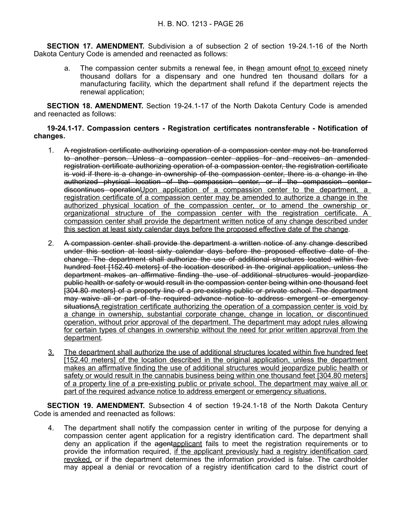**SECTION 17. AMENDMENT.** Subdivision a of subsection 2 of section 19-24.1-16 of the North Dakota Century Code is amended and reenacted as follows:

a. The compassion center submits a renewal fee, in the an amount of not to exceed ninety thousand dollars for a dispensary and one hundred ten thousand dollars for a manufacturing facility, which the department shall refund if the department rejects the renewal application;

**SECTION 18. AMENDMENT.** Section 19-24.1-17 of the North Dakota Century Code is amended and reenacted as follows:

#### **19-24.1-17. Compassion centers - Registration certificates nontransferable - Notification of changes.**

- 1. A registration certificate authorizing operation of a compassion center may not be transferred to another person. Unless a compassion center applies for and receives an amended registration certificate authorizing operation of a compassion center, the registration certificate is void if there is a change in ownership of the compassion center, there is a change in the authorized physical location of the compassion center, or if the compassion center discontinues operationUpon application of a compassion center to the department, a registration certificate of a compassion center may be amended to authorize a change in the authorized physical location of the compassion center, or to amend the ownership or organizational structure of the compassion center with the registration certificate. A compassion center shall provide the department written notice of any change described under this section at least sixty calendar days before the proposed effective date of the change.
- 2. A compassion center shall provide the department a written notice of any change described under this section at least sixty calendar days before the proposed effective date of the change. The department shall authorize the use of additional structures located within five hundred feet [152.40 meters] of the location described in the original application, unless the department makes an affirmative finding the use of additional structures would jeopardize public health or safety or would result in the compassion center being within one thousand feet [304.80 meters] of a property line of a pre-existing public or private school. The department may waive all or part of the required advance notice to address emergent or emergency situationsA registration certificate authorizing the operation of a compassion center is void by a change in ownership, substantial corporate change, change in location, or discontinued operation, without prior approval of the department. The department may adopt rules allowing for certain types of changes in ownership without the need for prior written approval from the department.
- 3. The department shall authorize the use of additional structures located within five hundred feet [152.40 meters] of the location described in the original application, unless the department makes an affirmative finding the use of additional structures would jeopardize public health or safety or would result in the cannabis business being within one thousand feet [304.80 meters] of a property line of a pre-existing public or private school. The department may waive all or part of the required advance notice to address emergent or emergency situations.

**SECTION 19. AMENDMENT.** Subsection 4 of section 19-24.1-18 of the North Dakota Century Code is amended and reenacted as follows:

4. The department shall notify the compassion center in writing of the purpose for denying a compassion center agent application for a registry identification card. The department shall deny an application if the agentapplicant fails to meet the registration requirements or to provide the information required, if the applicant previously had a registry identification card revoked, or if the department determines the information provided is false. The cardholder may appeal a denial or revocation of a registry identification card to the district court of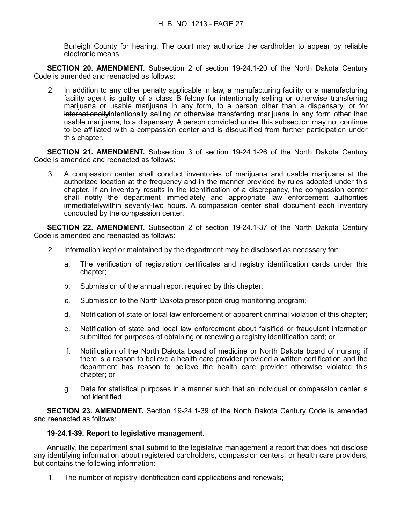Burleigh County for hearing. The court may authorize the cardholder to appear by reliable electronic means.

**SECTION 20. AMENDMENT.** Subsection 2 of section 19-24.1-20 of the North Dakota Century Code is amended and reenacted as follows:

2. In addition to any other penalty applicable in law, a manufacturing facility or a manufacturing facility agent is guilty of a class B felony for intentionally selling or otherwise transferring marijuana or usable marijuana in any form, to a person other than a dispensary, or for internationallyintentionally selling or otherwise transferring marijuana in any form other than usable marijuana, to a dispensary. A person convicted under this subsection may not continue to be affiliated with a compassion center and is disqualified from further participation under this chapter.

**SECTION 21. AMENDMENT.** Subsection 3 of section 19-24.1-26 of the North Dakota Century Code is amended and reenacted as follows:

3. A compassion center shall conduct inventories of marijuana and usable marijuana at the authorized location at the frequency and in the manner provided by rules adopted under this chapter. If an inventory results in the identification of a discrepancy, the compassion center shall notify the department immediately and appropriate law enforcement authorities immediatelywithin seventy-two hours. A compassion center shall document each inventory conducted by the compassion center.

**SECTION 22. AMENDMENT.** Subsection 2 of section 19-24.1-37 of the North Dakota Century Code is amended and reenacted as follows:

- 2. Information kept or maintained by the department may be disclosed as necessary for:
	- a. The verification of registration certificates and registry identification cards under this chapter;
	- b. Submission of the annual report required by this chapter;
	- c. Submission to the North Dakota prescription drug monitoring program;
	- d. Notification of state or local law enforcement of apparent criminal violation of this chapter;
	- e. Notification of state and local law enforcement about falsified or fraudulent information submitted for purposes of obtaining or renewing a registry identification card; or
	- f. Notification of the North Dakota board of medicine or North Dakota board of nursing if there is a reason to believe a health care provider provided a written certification and the department has reason to believe the health care provider otherwise violated this chapter; or
	- g. Data for statistical purposes in a manner such that an individual or compassion center is not identified.

**SECTION 23. AMENDMENT.** Section 19-24.1-39 of the North Dakota Century Code is amended and reenacted as follows:

#### **19-24.1-39. Report to legislative management.**

Annually, the department shall submit to the legislative management a report that does not disclose any identifying information about registered cardholders, compassion centers, or health care providers, but contains the following information:

1. The number of registry identification card applications and renewals;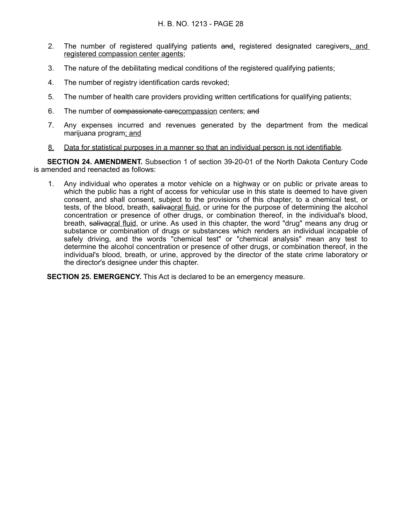- 2. The number of registered qualifying patients and, registered designated caregivers, and registered compassion center agents;
- 3. The nature of the debilitating medical conditions of the registered qualifying patients;
- 4. The number of registry identification cards revoked;
- 5. The number of health care providers providing written certifications for qualifying patients;
- 6. The number of compassionate carecompassion centers; and
- 7. Any expenses incurred and revenues generated by the department from the medical marijuana program; and
- 8. Data for statistical purposes in a manner so that an individual person is not identifiable.

**SECTION 24. AMENDMENT.** Subsection 1 of section 39-20-01 of the North Dakota Century Code is amended and reenacted as follows:

1. Any individual who operates a motor vehicle on a highway or on public or private areas to which the public has a right of access for vehicular use in this state is deemed to have given consent, and shall consent, subject to the provisions of this chapter, to a chemical test, or tests, of the blood, breath, salivaoral fluid, or urine for the purpose of determining the alcohol concentration or presence of other drugs, or combination thereof, in the individual's blood, breath, salivaoral fluid, or urine. As used in this chapter, the word "drug" means any drug or substance or combination of drugs or substances which renders an individual incapable of safely driving, and the words "chemical test" or "chemical analysis" mean any test to determine the alcohol concentration or presence of other drugs, or combination thereof, in the individual's blood, breath, or urine, approved by the director of the state crime laboratory or the director's designee under this chapter.

**SECTION 25. EMERGENCY.** This Act is declared to be an emergency measure.